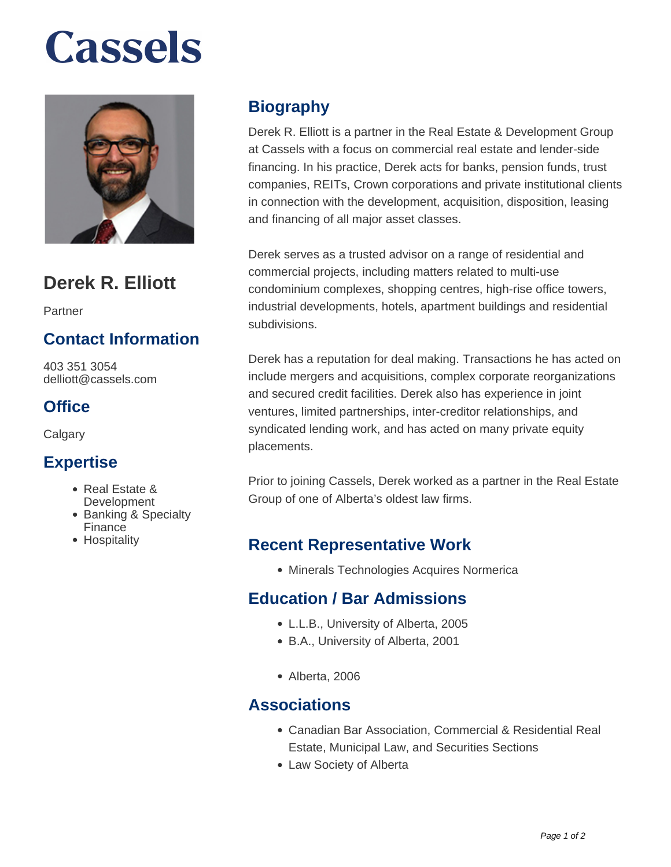# **Cassels**



# **Derek R. Elliott**

Partner

## **Contact Information**

403 351 3054 delliott@cassels.com

## **Office**

**Calgary** 

#### **Expertise**

- Real Estate &
- **Development** • Banking & Specialty **Finance**
- Hospitality

# **Biography**

Derek R. Elliott is a partner in the Real Estate & Development Group at Cassels with a focus on commercial real estate and lender-side financing. In his practice, Derek acts for banks, pension funds, trust companies, REITs, Crown corporations and private institutional clients in connection with the development, acquisition, disposition, leasing and financing of all major asset classes.

Derek serves as a trusted advisor on a range of residential and commercial projects, including matters related to multi-use condominium complexes, shopping centres, high-rise office towers, industrial developments, hotels, apartment buildings and residential subdivisions.

Derek has a reputation for deal making. Transactions he has acted on include mergers and acquisitions, complex corporate reorganizations and secured credit facilities. Derek also has experience in joint ventures, limited partnerships, inter-creditor relationships, and syndicated lending work, and has acted on many private equity placements.

Prior to joining Cassels, Derek worked as a partner in the Real Estate Group of one of Alberta's oldest law firms.

#### **Recent Representative Work**

Minerals Technologies Acquires Normerica

#### **Education / Bar Admissions**

- L.L.B., University of Alberta, 2005
- B.A., University of Alberta, 2001
- Alberta, 2006

#### **Associations**

- Canadian Bar Association, Commercial & Residential Real Estate, Municipal Law, and Securities Sections
- Law Society of Alberta